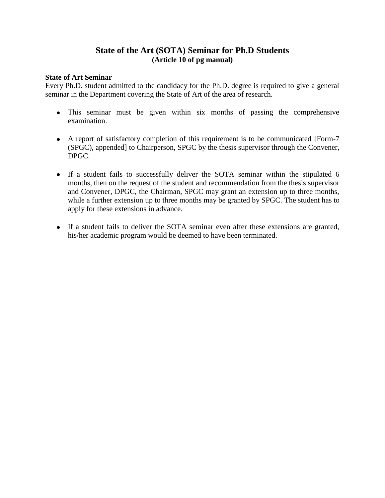## **State of the Art (SOTA) Seminar for Ph.D Students (Article 10 of pg manual)**

## **State of Art Seminar**

Every Ph.D. student admitted to the candidacy for the Ph.D. degree is required to give a general seminar in the Department covering the State of Art of the area of research.

- This seminar must be given within six months of passing the comprehensive examination.
- A report of satisfactory completion of this requirement is to be communicated [Form-7 (SPGC), appended] to Chairperson, SPGC by the thesis supervisor through the Convener, DPGC.
- If a student fails to successfully deliver the SOTA seminar within the stipulated 6 months, then on the request of the student and recommendation from the thesis supervisor and Convener, DPGC, the Chairman, SPGC may grant an extension up to three months, while a further extension up to three months may be granted by SPGC. The student has to apply for these extensions in advance.
- If a student fails to deliver the SOTA seminar even after these extensions are granted, his/her academic program would be deemed to have been terminated.